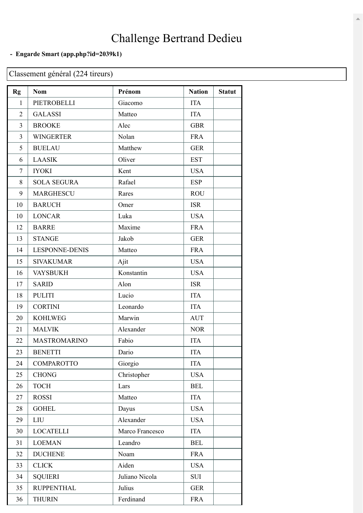## Challenge Bertrand Dedieu

## **- Engarde Smart [\(app.php?id=2039k1\)](https://engarde-service.com/app.php?id=2039k1)**

## Classement général (224 tireurs)

| <b>Rg</b>      | <b>Nom</b>            | Prénom          | <b>Nation</b> | <b>Statut</b> |
|----------------|-----------------------|-----------------|---------------|---------------|
| 1              | PIETROBELLI           | Giacomo         | <b>ITA</b>    |               |
| 2              | <b>GALASSI</b>        | Matteo          | <b>ITA</b>    |               |
| 3              | <b>BROOKE</b>         | Alec            | <b>GBR</b>    |               |
| $\overline{3}$ | <b>WINGERTER</b>      | Nolan           | <b>FRA</b>    |               |
| 5              | <b>BUELAU</b>         | Matthew         | <b>GER</b>    |               |
| 6              | <b>LAASIK</b>         | Oliver          | <b>EST</b>    |               |
| $\overline{7}$ | <b>IYOKI</b>          | Kent            | <b>USA</b>    |               |
| 8              | <b>SOLA SEGURA</b>    | Rafael          | <b>ESP</b>    |               |
| 9              | <b>MARGHESCU</b>      | Rares           | <b>ROU</b>    |               |
| 10             | <b>BARUCH</b>         | Omer            | <b>ISR</b>    |               |
| 10             | <b>LONCAR</b>         | Luka            | <b>USA</b>    |               |
| 12             | <b>BARRE</b>          | Maxime          | <b>FRA</b>    |               |
| 13             | <b>STANGE</b>         | Jakob           | <b>GER</b>    |               |
| 14             | <b>LESPONNE-DENIS</b> | Matteo          | <b>FRA</b>    |               |
| 15             | <b>SIVAKUMAR</b>      | Ajit            | <b>USA</b>    |               |
| 16             | <b>VAYSBUKH</b>       | Konstantin      | <b>USA</b>    |               |
| 17             | <b>SARID</b>          | Alon            | <b>ISR</b>    |               |
| 18             | <b>PULITI</b>         | Lucio           | <b>ITA</b>    |               |
| 19             | <b>CORTINI</b>        | Leonardo        | <b>ITA</b>    |               |
| 20             | <b>KOHLWEG</b>        | Marwin          | <b>AUT</b>    |               |
| 21             | <b>MALVIK</b>         | Alexander       | <b>NOR</b>    |               |
| 22             | <b>MASTROMARINO</b>   | Fabio           | <b>ITA</b>    |               |
| 23             | <b>BENETTI</b>        | Dario           | <b>ITA</b>    |               |
| 24             | <b>COMPAROTTO</b>     | Giorgio         | <b>ITA</b>    |               |
| 25             | <b>CHONG</b>          | Christopher     | <b>USA</b>    |               |
| 26             | <b>TOCH</b>           | Lars            | <b>BEL</b>    |               |
| 27             | <b>ROSSI</b>          | Matteo          | <b>ITA</b>    |               |
| 28             | <b>GOHEL</b>          | Dayus           | <b>USA</b>    |               |
| 29             | <b>LIU</b>            | Alexander       | <b>USA</b>    |               |
| 30             | <b>LOCATELLI</b>      | Marco Francesco | <b>ITA</b>    |               |
| 31             | <b>LOEMAN</b>         | Leandro         | <b>BEL</b>    |               |
| 32             | <b>DUCHENE</b>        | Noam            | <b>FRA</b>    |               |
| 33             | <b>CLICK</b>          | Aiden           | <b>USA</b>    |               |
| 34             | <b>SQUIERI</b>        | Juliano Nicola  | <b>SUI</b>    |               |
| 35             | <b>RUPPENTHAL</b>     | Julius          | <b>GER</b>    |               |
| 36             | <b>THURIN</b>         | Ferdinand       | <b>FRA</b>    |               |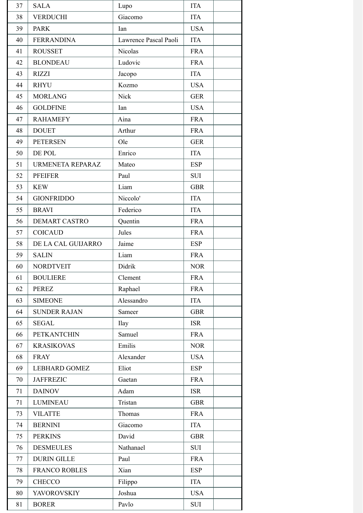| 37 | <b>SALA</b>          | Lupo                  | <b>ITA</b> |
|----|----------------------|-----------------------|------------|
| 38 | <b>VERDUCHI</b>      | Giacomo               | <b>ITA</b> |
| 39 | <b>PARK</b>          | Ian                   | <b>USA</b> |
| 40 | <b>FERRANDINA</b>    | Lawrence Pascal Paoli | <b>ITA</b> |
| 41 | <b>ROUSSET</b>       | Nicolas               | <b>FRA</b> |
| 42 | <b>BLONDEAU</b>      | Ludovic               | <b>FRA</b> |
| 43 | <b>RIZZI</b>         | Jacopo                | <b>ITA</b> |
| 44 | <b>RHYU</b>          | Kozmo                 | <b>USA</b> |
| 45 | <b>MORLANG</b>       | Nick                  | <b>GER</b> |
| 46 | <b>GOLDFINE</b>      | Ian                   | <b>USA</b> |
| 47 | <b>RAHAMEFY</b>      | Aina                  | <b>FRA</b> |
| 48 | <b>DOUET</b>         | Arthur                | <b>FRA</b> |
| 49 | <b>PETERSEN</b>      | Ole                   | <b>GER</b> |
| 50 | DE POL               | Enrico                | <b>ITA</b> |
| 51 | URMENETA REPARAZ     | Mateo                 | <b>ESP</b> |
| 52 | <b>PFEIFER</b>       | Paul                  | <b>SUI</b> |
| 53 | <b>KEW</b>           | Liam                  | <b>GBR</b> |
| 54 | <b>GIONFRIDDO</b>    | Niccolo'              | <b>ITA</b> |
| 55 | <b>BRAVI</b>         | Federico              | <b>ITA</b> |
| 56 | <b>DEMART CASTRO</b> | Quentin               | <b>FRA</b> |
| 57 | <b>COICAUD</b>       | Jules                 | <b>FRA</b> |
| 58 | DE LA CAL GUIJARRO   | Jaime                 | <b>ESP</b> |
| 59 | <b>SALIN</b>         | Liam                  | <b>FRA</b> |
| 60 | <b>NORDTVEIT</b>     | Didrik                | <b>NOR</b> |
| 61 | <b>BOULIERE</b>      | Clement               | <b>FRA</b> |
| 62 | <b>PEREZ</b>         | Raphael               | <b>FRA</b> |
| 63 | <b>SIMEONE</b>       | Alessandro            | <b>ITA</b> |
| 64 | <b>SUNDER RAJAN</b>  | Sameer                | <b>GBR</b> |
| 65 | <b>SEGAL</b>         | <b>Ilay</b>           | <b>ISR</b> |
| 66 | <b>PETKANTCHIN</b>   | Samuel                | <b>FRA</b> |
| 67 | <b>KRASIKOVAS</b>    | Emilis                | <b>NOR</b> |
| 68 | <b>FRAY</b>          | Alexander             | <b>USA</b> |
| 69 | <b>LEBHARD GOMEZ</b> | Eliot                 | <b>ESP</b> |
| 70 | <b>JAFFREZIC</b>     | Gaetan                | <b>FRA</b> |
| 71 | <b>DAINOV</b>        | Adam                  | <b>ISR</b> |
| 71 | <b>LUMINEAU</b>      | Tristan               | <b>GBR</b> |
| 73 | <b>VILATTE</b>       | Thomas                | <b>FRA</b> |
| 74 | <b>BERNINI</b>       | Giacomo               | <b>ITA</b> |
| 75 | <b>PERKINS</b>       | David                 | <b>GBR</b> |
| 76 | <b>DESMEULES</b>     | Nathanael             | <b>SUI</b> |
| 77 | <b>DURIN GILLE</b>   | Paul                  | <b>FRA</b> |
| 78 | <b>FRANCO ROBLES</b> | Xian                  | <b>ESP</b> |
| 79 | <b>CHECCO</b>        | Filippo               | <b>ITA</b> |
| 80 | <b>YAVOROVSKIY</b>   | Joshua                | <b>USA</b> |
| 81 | <b>BORER</b>         | Pavlo                 | SUI        |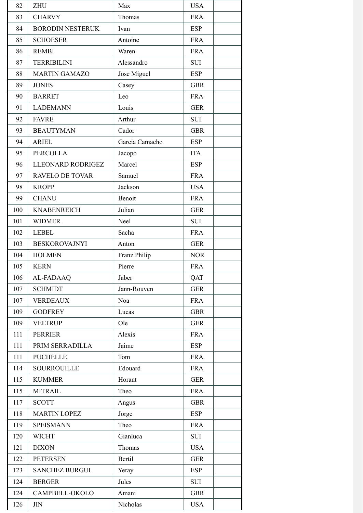| 82  | <b>ZHU</b>              | Max            | <b>USA</b> |
|-----|-------------------------|----------------|------------|
| 83  | <b>CHARVY</b>           | Thomas         | <b>FRA</b> |
| 84  | <b>BORODIN NESTERUK</b> | Ivan           | <b>ESP</b> |
| 85  | <b>SCHOESER</b>         | Antoine        | <b>FRA</b> |
| 86  | <b>REMBI</b>            | Waren          | <b>FRA</b> |
| 87  | <b>TERRIBILINI</b>      | Alessandro     | <b>SUI</b> |
| 88  | <b>MARTIN GAMAZO</b>    | Jose Miguel    | <b>ESP</b> |
| 89  | <b>JONES</b>            | Casey          | <b>GBR</b> |
| 90  | <b>BARRET</b>           | Leo            | <b>FRA</b> |
| 91  | <b>LADEMANN</b>         | Louis          | <b>GER</b> |
| 92  | <b>FAVRE</b>            | Arthur         | <b>SUI</b> |
| 93  | <b>BEAUTYMAN</b>        | Cador          | <b>GBR</b> |
| 94  | <b>ARIEL</b>            | Garcia Camacho | <b>ESP</b> |
| 95  | <b>PERCOLLA</b>         | Jacopo         | <b>ITA</b> |
| 96  | LLEONARD RODRIGEZ       | Marcel         | <b>ESP</b> |
| 97  | <b>RAVELO DE TOVAR</b>  | Samuel         | <b>FRA</b> |
| 98  | <b>KROPP</b>            | Jackson        | <b>USA</b> |
| 99  | <b>CHANU</b>            | Benoit         | <b>FRA</b> |
| 100 | <b>KNABENREICH</b>      | Julian         | <b>GER</b> |
| 101 | <b>WIDMER</b>           | Neel           | <b>SUI</b> |
| 102 | <b>LEBEL</b>            | Sacha          | <b>FRA</b> |
| 103 | <b>BESKOROVAJNYI</b>    | Anton          | <b>GER</b> |
| 104 | <b>HOLMEN</b>           | Franz Philip   | <b>NOR</b> |
| 105 | <b>KERN</b>             | Pierre         | <b>FRA</b> |
| 106 | AL-FADAAQ               | Jaber          | QAT        |
| 107 | <b>SCHMIDT</b>          | Jann-Rouven    | <b>GER</b> |
| 107 | <b>VERDEAUX</b>         | Noa            | <b>FRA</b> |
| 109 | <b>GODFREY</b>          | Lucas          | <b>GBR</b> |
| 109 | <b>VELTRUP</b>          | Ole            | <b>GER</b> |
| 111 | <b>PERRIER</b>          | Alexis         | <b>FRA</b> |
| 111 | PRIM SERRADILLA         | Jaime          | <b>ESP</b> |
| 111 | <b>PUCHELLE</b>         | Tom            | <b>FRA</b> |
| 114 | <b>SOURROUILLE</b>      | Edouard        | <b>FRA</b> |
| 115 | <b>KUMMER</b>           | Horant         | <b>GER</b> |
| 115 | <b>MITRAIL</b>          | Theo           | <b>FRA</b> |
| 117 | <b>SCOTT</b>            | Angus          | <b>GBR</b> |
| 118 | <b>MARTIN LOPEZ</b>     | Jorge          | <b>ESP</b> |
| 119 | <b>SPEISMANN</b>        | Theo           | <b>FRA</b> |
| 120 | <b>WICHT</b>            | Gianluca       | <b>SUI</b> |
| 121 | <b>DIXON</b>            | Thomas         | <b>USA</b> |
| 122 | <b>PETERSEN</b>         | Bertil         | <b>GER</b> |
| 123 | <b>SANCHEZ BURGUI</b>   | Yeray          | <b>ESP</b> |
| 124 | <b>BERGER</b>           | Jules          | <b>SUI</b> |
| 124 | CAMPBELL-OKOLO          | Amani          | <b>GBR</b> |
| 126 | $\rm JIN$               | Nicholas       | <b>USA</b> |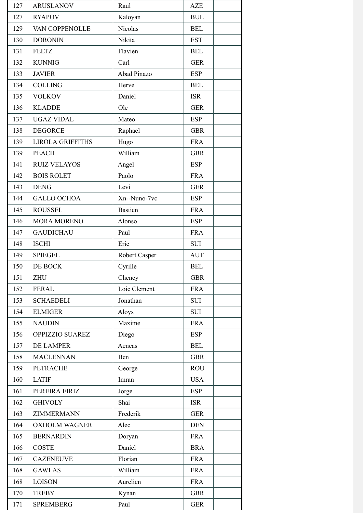| 127 | <b>ARUSLANOV</b>        | Raul           | <b>AZE</b> |
|-----|-------------------------|----------------|------------|
| 127 | <b>RYAPOV</b>           | Kaloyan        | <b>BUL</b> |
| 129 | VAN COPPENOLLE          | Nicolas        | <b>BEL</b> |
| 130 | <b>DORONIN</b>          | Nikita         | <b>EST</b> |
| 131 | <b>FELTZ</b>            | Flavien        | <b>BEL</b> |
| 132 | <b>KUNNIG</b>           | Carl           | <b>GER</b> |
| 133 | <b>JAVIER</b>           | Abad Pinazo    | <b>ESP</b> |
| 134 | <b>COLLING</b>          | Herve          | <b>BEL</b> |
| 135 | <b>VOLKOV</b>           | Daniel         | <b>ISR</b> |
| 136 | <b>KLADDE</b>           | Ole            | <b>GER</b> |
| 137 | <b>UGAZ VIDAL</b>       | Mateo          | <b>ESP</b> |
| 138 | <b>DEGORCE</b>          | Raphael        | <b>GBR</b> |
| 139 | <b>LIROLA GRIFFITHS</b> | Hugo           | <b>FRA</b> |
| 139 | <b>PEACH</b>            | William        | <b>GBR</b> |
| 141 | <b>RUIZ VELAYOS</b>     | Angel          | <b>ESP</b> |
| 142 | <b>BOIS ROLET</b>       | Paolo          | <b>FRA</b> |
| 143 | <b>DENG</b>             | Levi           | <b>GER</b> |
| 144 | <b>GALLO OCHOA</b>      | Xn--Nuno-7vc   | <b>ESP</b> |
| 145 | <b>ROUSSEL</b>          | <b>Bastien</b> | <b>FRA</b> |
| 146 | <b>MORA MORENO</b>      | Alonso         | <b>ESP</b> |
| 147 | <b>GAUDICHAU</b>        | Paul           | <b>FRA</b> |
| 148 | <b>ISCHI</b>            | Eric           | <b>SUI</b> |
| 149 | <b>SPIEGEL</b>          | Robert Casper  | <b>AUT</b> |
| 150 | DE BOCK                 | Cyrille        | <b>BEL</b> |
| 151 | <b>ZHU</b>              | Cheney         | GBK        |
| 152 | <b>FERAL</b>            | Loic Clement   | <b>FRA</b> |
| 153 | <b>SCHAEDELI</b>        | Jonathan       | <b>SUI</b> |
| 154 | <b>ELMIGER</b>          | Aloys          | <b>SUI</b> |
| 155 | <b>NAUDIN</b>           | Maxime         | <b>FRA</b> |
| 156 | OPPIZZIO SUAREZ         | Diego          | <b>ESP</b> |
| 157 | DE LAMPER               | Aeneas         | <b>BEL</b> |
| 158 | <b>MACLENNAN</b>        | Ben            | <b>GBR</b> |
| 159 | <b>PETRACHE</b>         | George         | <b>ROU</b> |
| 160 | <b>LATIF</b>            | Imran          | <b>USA</b> |
| 161 | PEREIRA EIRIZ           | Jorge          | <b>ESP</b> |
| 162 | <b>GHIVOLY</b>          | Shai           | <b>ISR</b> |
| 163 | ZIMMERMANN              | Frederik       | <b>GER</b> |
| 164 | <b>OXHOLM WAGNER</b>    | Alec           | <b>DEN</b> |
| 165 | <b>BERNARDIN</b>        | Doryan         | <b>FRA</b> |
| 166 | <b>COSTE</b>            | Daniel         | <b>BRA</b> |
| 167 | <b>CAZENEUVE</b>        | Florian        | <b>FRA</b> |
| 168 | <b>GAWLAS</b>           | William        | <b>FRA</b> |
| 168 | <b>LOISON</b>           | Aurelien       | <b>FRA</b> |
| 170 | <b>TREBY</b>            | Kynan          | <b>GBR</b> |
| 171 | <b>SPREMBERG</b>        | Paul           | <b>GER</b> |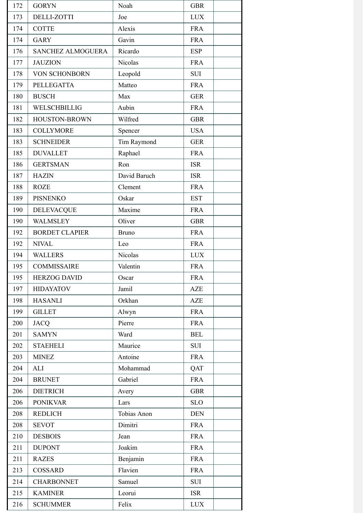| 172 | <b>GORYN</b>             | Noah         | <b>GBR</b> |
|-----|--------------------------|--------------|------------|
| 173 | <b>DELLI-ZOTTI</b>       | Joe          | <b>LUX</b> |
| 174 | <b>COTTE</b>             | Alexis       | <b>FRA</b> |
| 174 | <b>GARY</b>              | Gavin        | <b>FRA</b> |
| 176 | <b>SANCHEZ ALMOGUERA</b> | Ricardo      | <b>ESP</b> |
| 177 | <b>JAUZION</b>           | Nicolas      | <b>FRA</b> |
| 178 | VON SCHONBORN            | Leopold      | <b>SUI</b> |
| 179 | <b>PELLEGATTA</b>        | Matteo       | <b>FRA</b> |
| 180 | <b>BUSCH</b>             | Max          | <b>GER</b> |
| 181 | WELSCHBILLIG             | Aubin        | <b>FRA</b> |
| 182 | HOUSTON-BROWN            | Wilfred      | <b>GBR</b> |
| 183 | <b>COLLYMORE</b>         | Spencer      | <b>USA</b> |
| 183 | <b>SCHNEIDER</b>         | Tim Raymond  | <b>GER</b> |
| 185 | <b>DUVALLET</b>          | Raphael      | <b>FRA</b> |
| 186 | <b>GERTSMAN</b>          | Ron          | <b>ISR</b> |
| 187 | <b>HAZIN</b>             | David Baruch | <b>ISR</b> |
| 188 | <b>ROZE</b>              | Clement      | <b>FRA</b> |
| 189 | <b>PISNENKO</b>          | Oskar        | <b>EST</b> |
| 190 | <b>DELEVACQUE</b>        | Maxime       | <b>FRA</b> |
| 190 | <b>WALMSLEY</b>          | Oliver       | <b>GBR</b> |
| 192 | <b>BORDET CLAPIER</b>    | <b>Bruno</b> | <b>FRA</b> |
| 192 | <b>NIVAL</b>             | Leo          | <b>FRA</b> |
| 194 | <b>WALLERS</b>           | Nicolas      | <b>LUX</b> |
| 195 | <b>COMMISSAIRE</b>       | Valentin     | <b>FRA</b> |
| 195 | <b>HERZOG DAVID</b>      | Oscar        | <b>FRA</b> |
| 197 | <b>HIDAYATOV</b>         | Jamil        | <b>AZE</b> |
| 198 | <b>HASANLI</b>           | Orkhan       | <b>AZE</b> |
| 199 | <b>GILLET</b>            | Alwyn        | <b>FRA</b> |
| 200 | <b>JACQ</b>              | Pierre       | <b>FRA</b> |
| 201 | <b>SAMYN</b>             | Ward         | <b>BEL</b> |
| 202 | <b>STAEHELI</b>          | Maurice      | <b>SUI</b> |
| 203 | <b>MINEZ</b>             | Antoine      | <b>FRA</b> |
| 204 | <b>ALI</b>               | Mohammad     | QAT        |
| 204 | <b>BRUNET</b>            | Gabriel      | <b>FRA</b> |
| 206 | <b>DIETRICH</b>          | Avery        | <b>GBR</b> |
| 206 | <b>PONIKVAR</b>          | Lars         | <b>SLO</b> |
| 208 | <b>REDLICH</b>           | Tobias Anon  | <b>DEN</b> |
| 208 | <b>SEVOT</b>             | Dimitri      | <b>FRA</b> |
| 210 | <b>DESBOIS</b>           | Jean         | <b>FRA</b> |
| 211 | <b>DUPONT</b>            | Joakim       | <b>FRA</b> |
| 211 | <b>RAZES</b>             | Benjamin     | <b>FRA</b> |
| 213 | COSSARD                  | Flavien      | <b>FRA</b> |
| 214 | <b>CHARBONNET</b>        | Samuel       | <b>SUI</b> |
| 215 | <b>KAMINER</b>           | Leorui       | <b>ISR</b> |
| 216 | <b>SCHUMMER</b>          | Felix        | <b>LUX</b> |